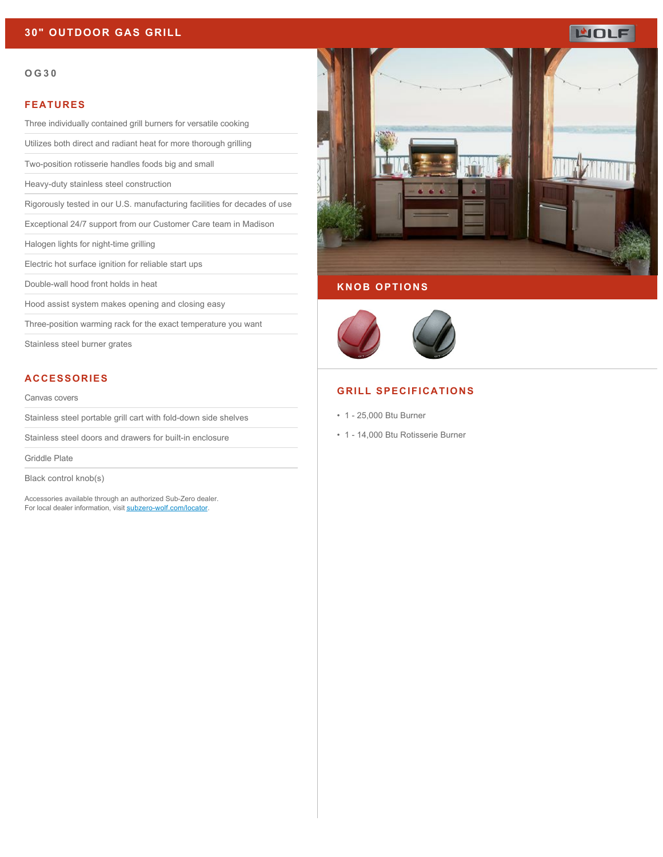# **30" OUTDOOR GAS GRILL**

#### **OG30**

#### **FEATURES**

Three individually contained grill burners for versatile cooking

Utilizes both direct and radiant heat for more thorough grilling

Two-position rotisserie handles foods big and small

Heavy-duty stainless steel construction

Rigorously tested in our U.S. manufacturing facilities for decades of use

Exceptional 24/7 support from our Customer Care team in Madison

Halogen lights for night-time grilling

Electric hot surface ignition for reliable start ups

Double-wall hood front holds in heat

Hood assist system makes opening and closing easy

Three-position warming rack for the exact temperature you want

Stainless steel burner grates

### **ACCESSORIES**

#### Canvas covers

Stainless steel portable grill cart with fold-down side shelves

Stainless steel doors and drawers for built-in enclosure

Griddle Plate

Black control knob(s)

Accessories available through an authorized Sub-Zero dealer. For local dealer information, visit [subzero-wolf.com/locator.](http://www.subzero-wolf.com/locator)



### **KNOB OPTIONS**



#### **GRILL SPECIFICATIONS**

- 1 25,000 Btu Burner
- 1 14,000 Btu Rotisserie Burner